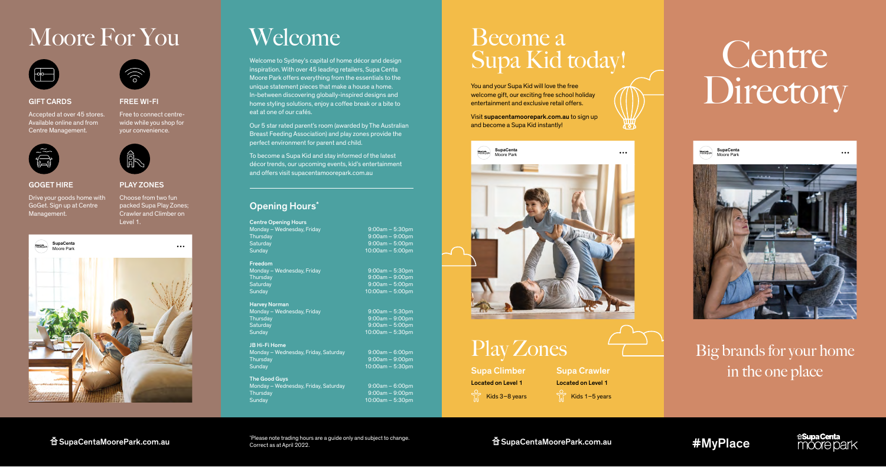**SupaCenta** Moore Park

# Supa Kid today! Centre Directory

# Big brands for your home in the one place

Play Zones



 $\cdots$ 

# GIFT CARDS

Accepted at over 45 stores. Available online and from Centre Management.



Welcome to Sydney's capital of home décor and design inspiration. With over 45 leading retailers, Supa Centa Moore Park offers everything from the essentials to the unique statement pieces that make a house a home. In-between discovering globally-inspired designs and home styling solutions, enjoy a coffee break or a bite to eat at one of our cafés.

# Moore For You Welcome Become a





PLAY ZONES Choose from two fun packed Supa Play Zones; Crawler and Climber on

Our 5 star rated parent's room (awarded by The Australian Breast Feeding Association) and play zones provide the perfect environment for parent and child.

Free to connect centrewide while you shop for your convenience.

> To become a Supa Kid and stay informed of the latest décor trends, our upcoming events, kid's entertainment and offers visit supacentamoorepark.com.au

Thursday 8:00am – 9:00pm Saturday 9:00am – 5:00pm

## The Good Guys Monday – Wednesday, Friday, Saturday 9:00am – 6:00pm Thursday 8:00am – 9:00pm

You and your Supa Kid will love the free welcome gift, our exciting free school holiday entertainment and exclusive retail offers. Visit supacentamoorepark.com.au to sign up

\* Please note trading hours are a guide only and subject to change. Correct as at April 2022.  $\widehat{\mathbf{B}}$  SupaCentaMoorePark.com.au  $\widehat{\mathbf{B}}$  support the contract and  $\widehat{\mathbf{B}}$  or  $\widehat{\mathbf{B}}$  and supect to change.

and become a Supa Kid instantly!

# GOGET HIRE

Drive your goods home with GoGet. Sign up at Centre Management.

FREE WI-FI

# Opening Hours\*





### Centre Opening Hours

Monday – Wednesday, Friday 9:00am – 5:30pm Thursday 9:00am – 9:00pm<br>
9:00am – 9:00pm<br>
9:00am – 5:00pm Saturday 9:00am – 5:00pm

# Freedom

Thursday 9:00am – 9:00pm Saturday 9:00am – 5:00pm

## Harvey Norman

Supa Climber Located on Level 1

Supa Crawler  $\frac{6}{10}$  Kids 3–8 years  $\frac{6}{10}$  Kids 1–5 years Located on Level 1



JB Hi-Fi Home Monday – Wednesday, Friday, Saturday 9:00am – 6:00pm Thursday 9:00am – 9:00pm Sunday 10:00am – 5:30pm

Sunday 10:00am – 5:30pm

Monday – Wednesday, Friday 19:00am – 5:30pm

10:00am – 5:00pm

 $10:00$ am – 5:00pm

Monday – Wednesday, Friday 19:00am – 5:30pm  $10:00$ am – 5:30pm